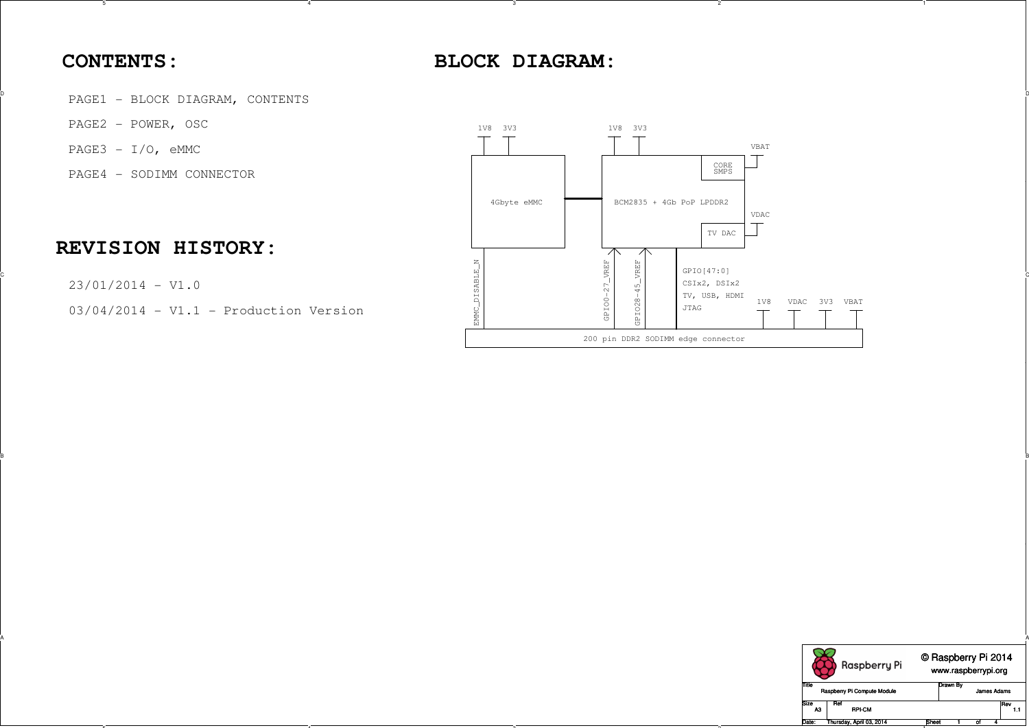$\mathbf{^{-5}}$ 

4

4

3

3

B<br>B

2

r

1

D

C

B

A

<sup>D</sup> PAGE1 - BLOCK DIAGRAM, CONTENTS



- PAGE2 POWER, OSC
- PAGE3 I/O, eMMC
- PAGE4 SODIMM CONNECTOR



# **CONTENTS: BLOCK DIAGRAM:**

## **REVISION HISTORY:**

23/01/2014 - V1.0

-

03/04/2014 - V1.1 - Production Version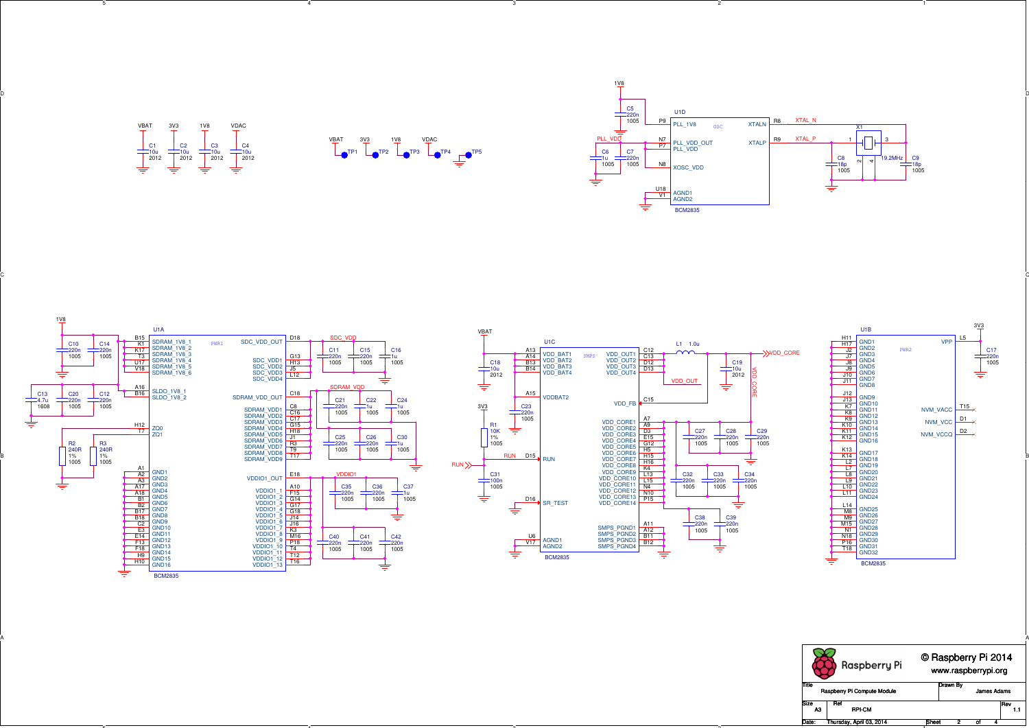4

4

3

 $\Gamma$ 

3

2

r

1

D

C

A

-













5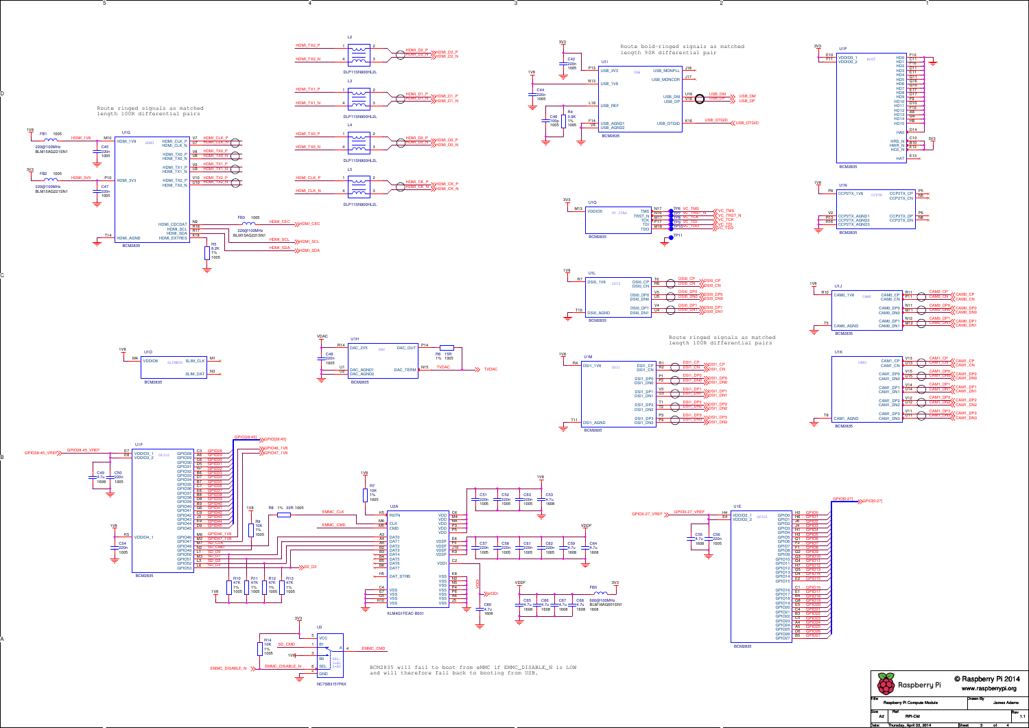4

3

2

1

B

A

5

Route ringed signals as matched length 100R differential pairs



|    | CAM1           | CAM1_CP<br>CAM1 CN   | V13<br>U <sub>13</sub> | CAM1 CP<br>CAM                  | CAM1 CP<br>CAM1 CN   |
|----|----------------|----------------------|------------------------|---------------------------------|----------------------|
|    |                | CAM1 DP0<br>CAM1 DN0 | V15<br>U15             | D <sub>P0</sub><br>CAM1         | CAM1 DP0<br>CAM1 DN0 |
|    |                | CAM1 DP1<br>CAM1_DN1 | V14<br>U14             | DP1<br>CAM1                     | CAM1 DP1<br>CAM1 DN1 |
|    |                | CAM1 DP2<br>CAM1 DN2 | V12<br>U12             | DP <sub>2</sub><br>CAM1         | CAM1 DP2<br>CAM1 DN2 |
| T8 | CAM1 AGND      | CAM1 DP3<br>CAM1 DN3 | V11<br>U <sub>11</sub> | DP <sub>3</sub><br>CAM1<br>CAM1 | CAM1 DP3<br>CAM1 DN3 |
|    | <b>BCM2835</b> |                      |                        |                                 |                      |

|                   | <b>Raspberry Pi</b>         | © Raspberry Pi 2014<br>www.raspberrypi.org |   |    |  |      |  |  |
|-------------------|-----------------------------|--------------------------------------------|---|----|--|------|--|--|
| Title             | Raspberry Pi Compute Module | Drawn By<br>James Adams                    |   |    |  |      |  |  |
| <b>Size</b><br>Α2 | Ref<br><b>RPI-CM</b>        |                                            |   |    |  | IRev |  |  |
| Date:             | Thursday, April 03, 2014    | Sheet                                      | 3 | ٥l |  |      |  |  |















| 1 <sub>V</sub> 8 |                 | U <sub>1</sub> J |                  |                      |                                    |                              |                      |  |
|------------------|-----------------|------------------|------------------|----------------------|------------------------------------|------------------------------|----------------------|--|
|                  | R <sub>10</sub> | <b>CAM0 1V8</b>  | CAM <sub>0</sub> | CAMO_CP<br>CAMO_CN   | R <sub>11</sub><br>P <sub>11</sub> | CAM0 CP<br>CAM0              | CAM0 CP<br>CAMO CN   |  |
|                  |                 |                  |                  | CAM0 DP0<br>CAM0 DN0 | N <sub>11</sub><br>M11             | CAMO DP0<br>CAM0             | CAMO DP0<br>CAMO DNO |  |
| ≑                | T <sub>5</sub>  | CAM0 AGND        |                  | CAM0_DP1<br>CAM0_DN1 | N <sub>12</sub><br>M12             | CAM0 DP1<br>CAM <sub>0</sub> | CAMO DP1<br>CAMO DN1 |  |
|                  |                 | <b>BCM2835</b>   |                  |                      |                                    |                              |                      |  |
|                  |                 |                  |                  |                      |                                    |                              |                      |  |
|                  |                 | U <sub>1</sub> K |                  |                      |                                    |                              |                      |  |



BCM2835